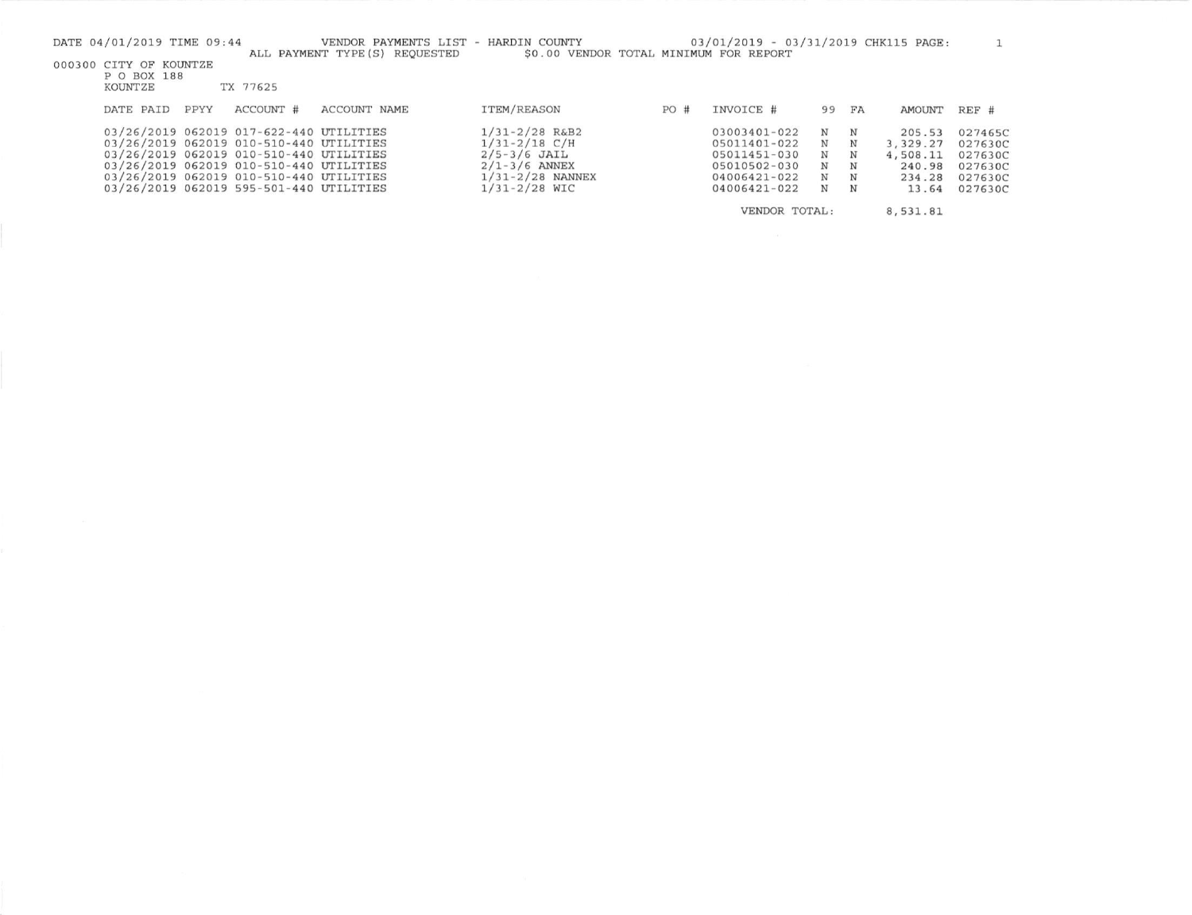| DATE 04/01/2019 TIME 09:44 |      |                                         | VENDOR PAYMENTS LIST - HARDIN COUNTY<br>ALL PAYMENT TYPE (S) REOUESTED | \$0.00 VENDOR TOTAL MINIMUM FOR REPORT |     | 03/01/2019 - 03/31/2019 CHK115 PAGE: |     |            |            |         |
|----------------------------|------|-----------------------------------------|------------------------------------------------------------------------|----------------------------------------|-----|--------------------------------------|-----|------------|------------|---------|
| 000300 CITY OF KOUNTZE     |      |                                         |                                                                        |                                        |     |                                      |     |            |            |         |
| P O BOX 188<br>KOUNTZE     |      | TX 77625                                |                                                                        |                                        |     |                                      |     |            |            |         |
|                            |      |                                         |                                                                        |                                        |     |                                      |     |            |            |         |
| DATE PAID                  | PPYY | ACCOUNT #                               | ACCOUNT NAME                                                           | <b>ITEM/REASON</b>                     | PO# | INVOICE #                            | 99  | FA         | AMOUNT     | REF #   |
|                            |      | 03/26/2019 062019 017-622-440 UTILITIES |                                                                        | $1/31 - 2/28$ R&B2                     |     | 03003401-022                         | N   | N          | 205.53     | 027465C |
|                            |      | 03/26/2019 062019 010-510-440 UTILITIES |                                                                        | $1/31 - 2/18$ C/H                      |     | 05011401-022                         | N   | N          | 3, 329, 27 | 027630C |
|                            |      | 03/26/2019 062019 010-510-440 UTILITIES |                                                                        | $2/5 - 3/6$ JAIL                       |     | 05011451-030                         | N   | $_{\rm N}$ | 4,508.11   | 027630C |
|                            |      | 03/26/2019 062019 010-510-440 UTILITIES |                                                                        | $2/1 - 3/6$ ANNEX                      |     | 05010502-030                         | N   | N          | 240.98     | 027630C |
|                            |      | 03/26/2019 062019 010-510-440 UTILITIES |                                                                        | $1/31 - 2/28$ NANNEX                   |     | 04006421-022                         | N N |            | 234.28     | 027630C |
|                            |      | 03/26/2019 062019 595-501-440 UTILITIES |                                                                        | $1/31 - 2/28$ WIC                      |     | 04006421-022                         | N   | N          | 13.64      | 027630C |
|                            |      |                                         |                                                                        |                                        |     | VENDOR TOTAL:                        |     |            | 8,531.81   |         |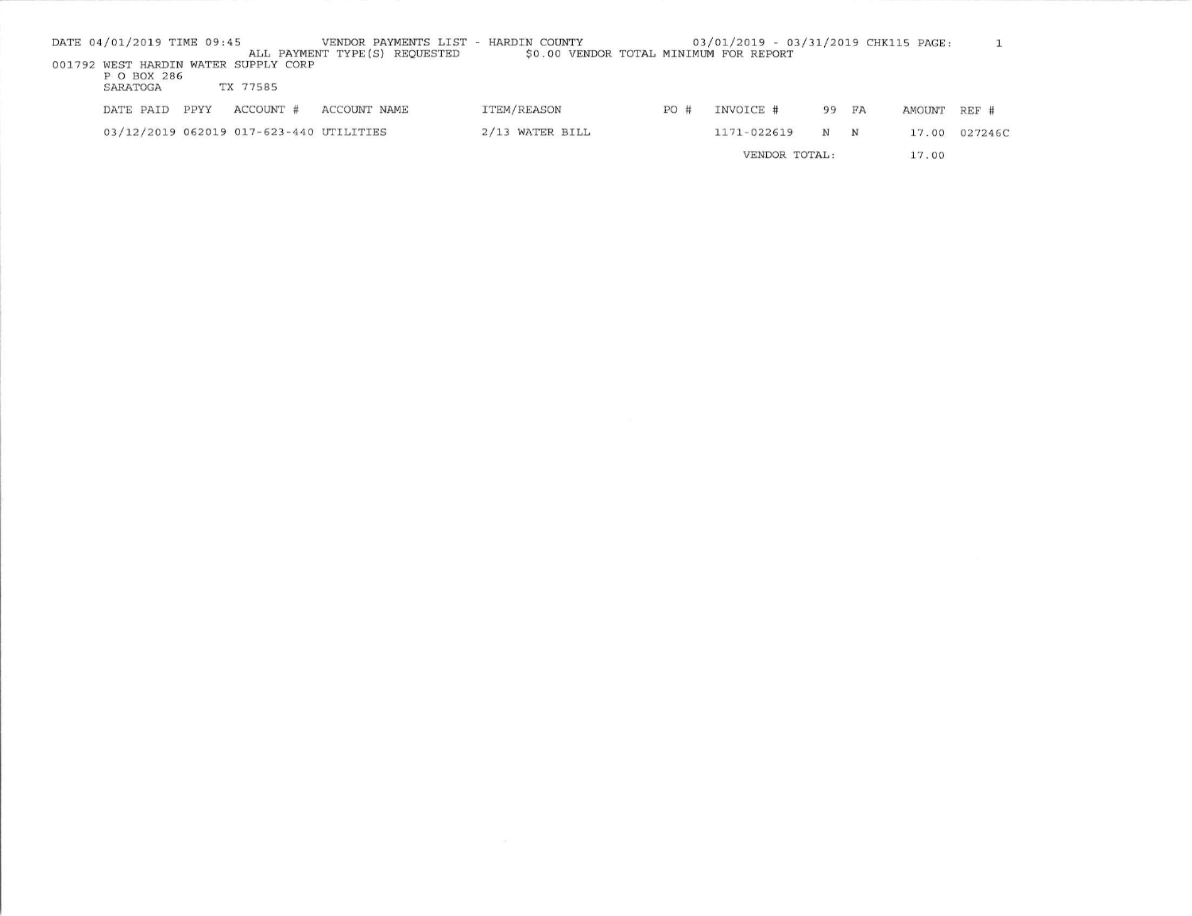| DATE 04/01/2019 TIME 09:45 |      |                                                  | VENDOR PAYMENTS LIST - HARDIN COUNTY<br>ALL PAYMENT TYPE (S) REOUESTED | \$0.00 VENDOR TOTAL MINIMUM FOR REPORT |     | 03/01/2019 - 03/31/2019 CHK115 PAGE: |       |            |        |         |
|----------------------------|------|--------------------------------------------------|------------------------------------------------------------------------|----------------------------------------|-----|--------------------------------------|-------|------------|--------|---------|
| P O BOX 286<br>SARATOGA    |      | 001792 WEST HARDIN WATER SUPPLY CORP<br>TX 77585 |                                                                        |                                        |     |                                      |       |            |        |         |
| DATE PAID                  | PPYY | ACCOUNT #                                        | ACCOUNT NAME                                                           | ITEM/REASON                            | PO# | INVOICE #                            | 99 FA |            | AMOUNT | REF #   |
|                            |      | 03/12/2019 062019 017-623-440 UTILITIES          |                                                                        | $2/13$ WATER BILL                      |     | 1171-022619                          | N     | $_{\rm N}$ | 17.00  | 027246C |
|                            |      |                                                  |                                                                        |                                        |     | VENDOR TOTAL:                        |       |            | 17.00  |         |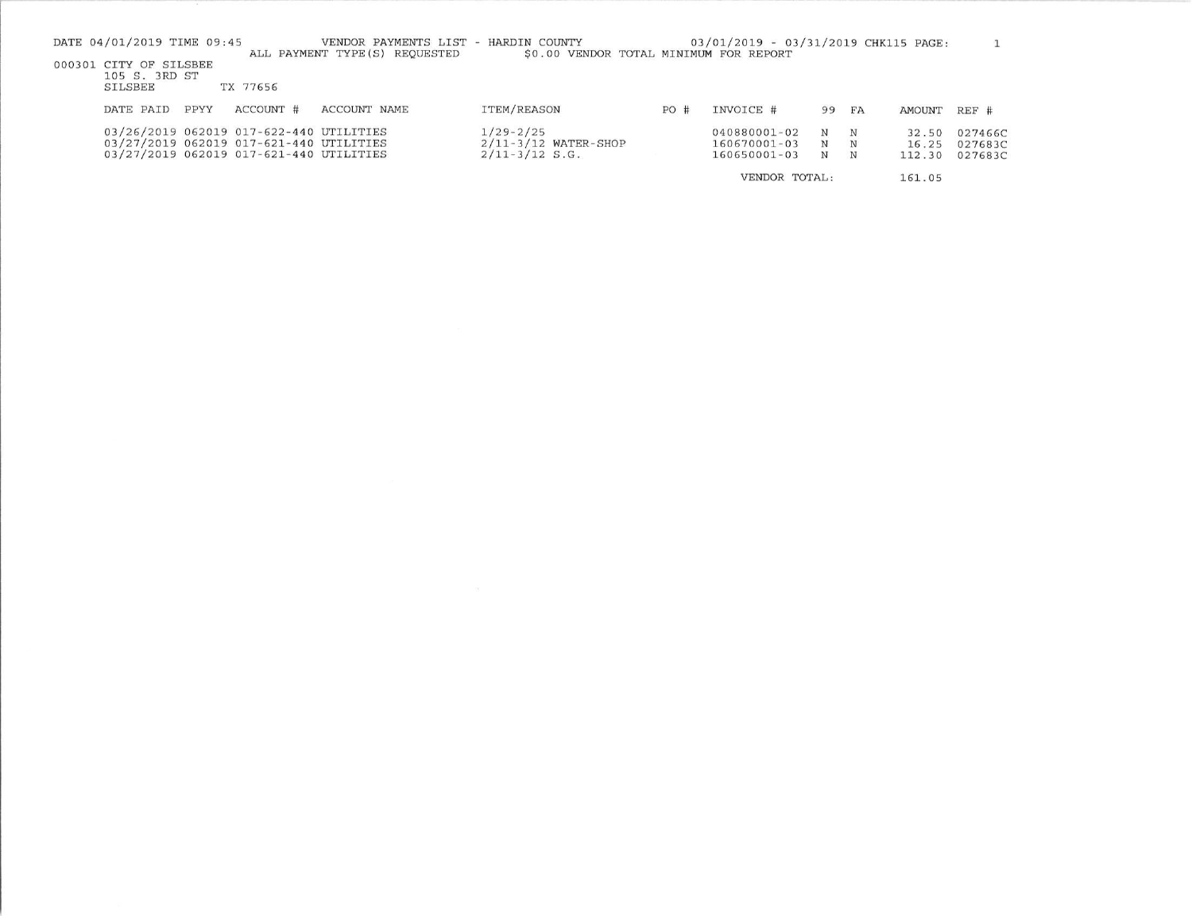| DATE 04/01/2019 TIME 09:45                                                                                                    |           | VENDOR PAYMENTS LIST<br>ALL PAYMENT TYPE (S) REOUESTED | - HARDIN COUNTY<br>\$0.00 VENDOR TOTAL MINIMUM FOR REPORT       |     | 03/01/2019 - 03/31/2019 CHK115 PAGE:         |                      |             |                          |                               |
|-------------------------------------------------------------------------------------------------------------------------------|-----------|--------------------------------------------------------|-----------------------------------------------------------------|-----|----------------------------------------------|----------------------|-------------|--------------------------|-------------------------------|
| 000301 CITY OF SILSBEE<br>105 S. 3RD ST<br>SILSBEE                                                                            | TX 77656  |                                                        |                                                                 |     |                                              |                      |             |                          |                               |
| PPYY<br>DATE PAID                                                                                                             | ACCOUNT # | ACCOUNT NAME                                           | <b>ITEM/REASON</b>                                              | PO# | INVOICE #                                    | 99                   | FA          | AMOUNT                   | REF #                         |
| 03/26/2019 062019 017-622-440 UTILITIES<br>03/27/2019 062019 017-621-440 UTILITIES<br>03/27/2019 062019 017-621-440 UTILITIES |           |                                                        | $1/29 - 2/25$<br>$2/11 - 3/12$ WATER-SHOP<br>$2/11 - 3/12$ S.G. |     | 040880001-02<br>160670001-03<br>160650001-03 | N<br>N<br>$_{\rm N}$ | N<br>N<br>N | 32.50<br>16.25<br>112.30 | 027466C<br>027683C<br>027683C |
|                                                                                                                               |           |                                                        |                                                                 |     | VENDOR TOTAL:                                |                      |             | 161.05                   |                               |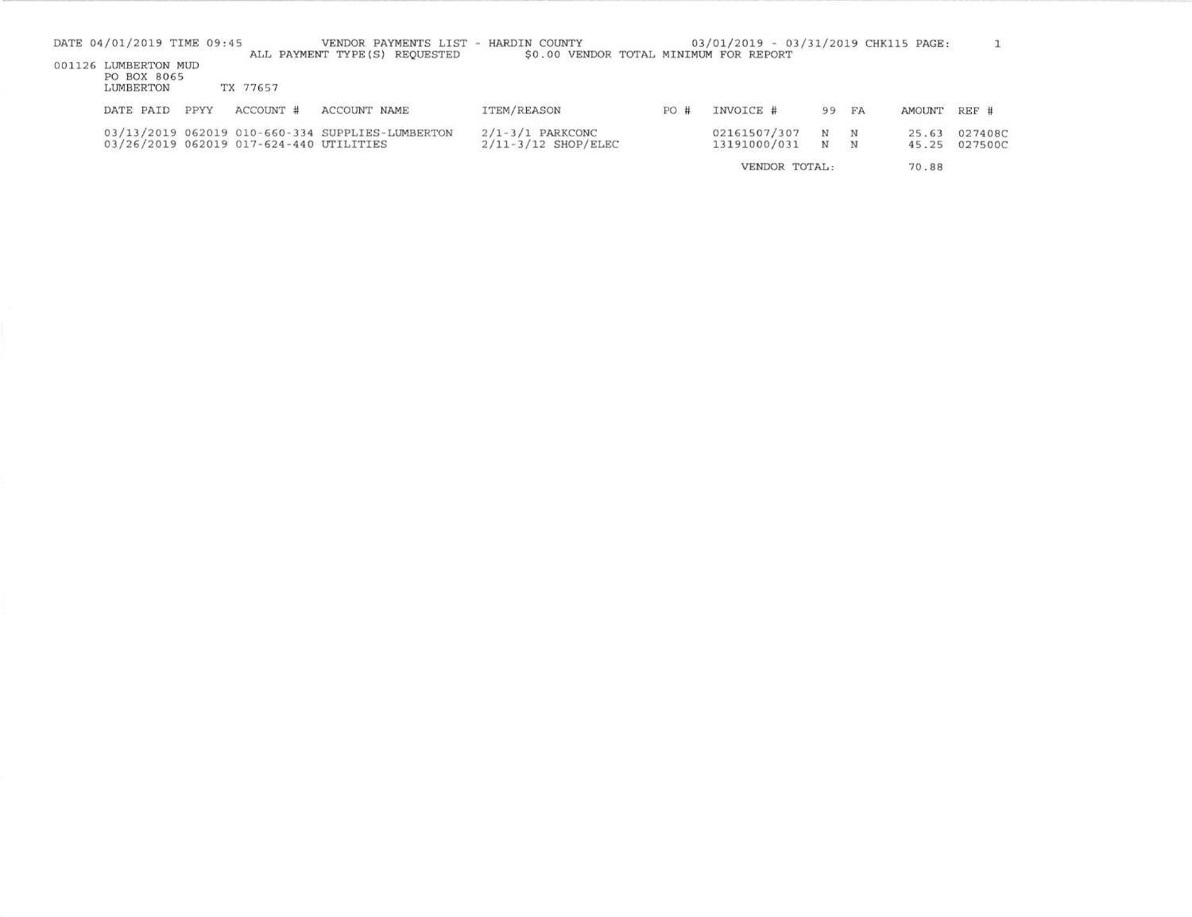| DATE 04/01/2019 TIME 09:45                       |      |                                         | VENDOR PAYMENTS LIST - HARDIN COUNTY<br>ALL PAYMENT TYPE (S) REOUESTED | \$0.00 VENDOR TOTAL MINIMUM FOR REPORT        |     | 03/01/2019 - 03/31/2019 CHK115 PAGE: |                          |        |                |                    |
|--------------------------------------------------|------|-----------------------------------------|------------------------------------------------------------------------|-----------------------------------------------|-----|--------------------------------------|--------------------------|--------|----------------|--------------------|
| 001126 LUMBERTON MUD<br>PO BOX 8065<br>LUMBERTON |      | TX 77657                                |                                                                        |                                               |     |                                      |                          |        |                |                    |
| DATE PAID                                        | PPYY | ACCOUNT #                               | <b>ACCOUNT NAME</b>                                                    | ITEM/REASON                                   | PO# | INVOICE #                            | 99 FA                    |        | AMOUNT REF #   |                    |
|                                                  |      | 03/26/2019 062019 017-624-440 UTILITIES | 03/13/2019 062019 010-660-334 SUPPLIES-LUMBERTON                       | $2/1 - 3/1$ PARKCONC<br>$2/11-3/12$ SHOP/ELEC |     | 02161507/307<br>13191000/031         | $_{\rm N}$<br>$_{\rm N}$ | N<br>N | 25.63<br>45.25 | 027408C<br>027500C |
|                                                  |      |                                         |                                                                        |                                               |     | VENDOR TOTAL:                        |                          |        | 70.88          |                    |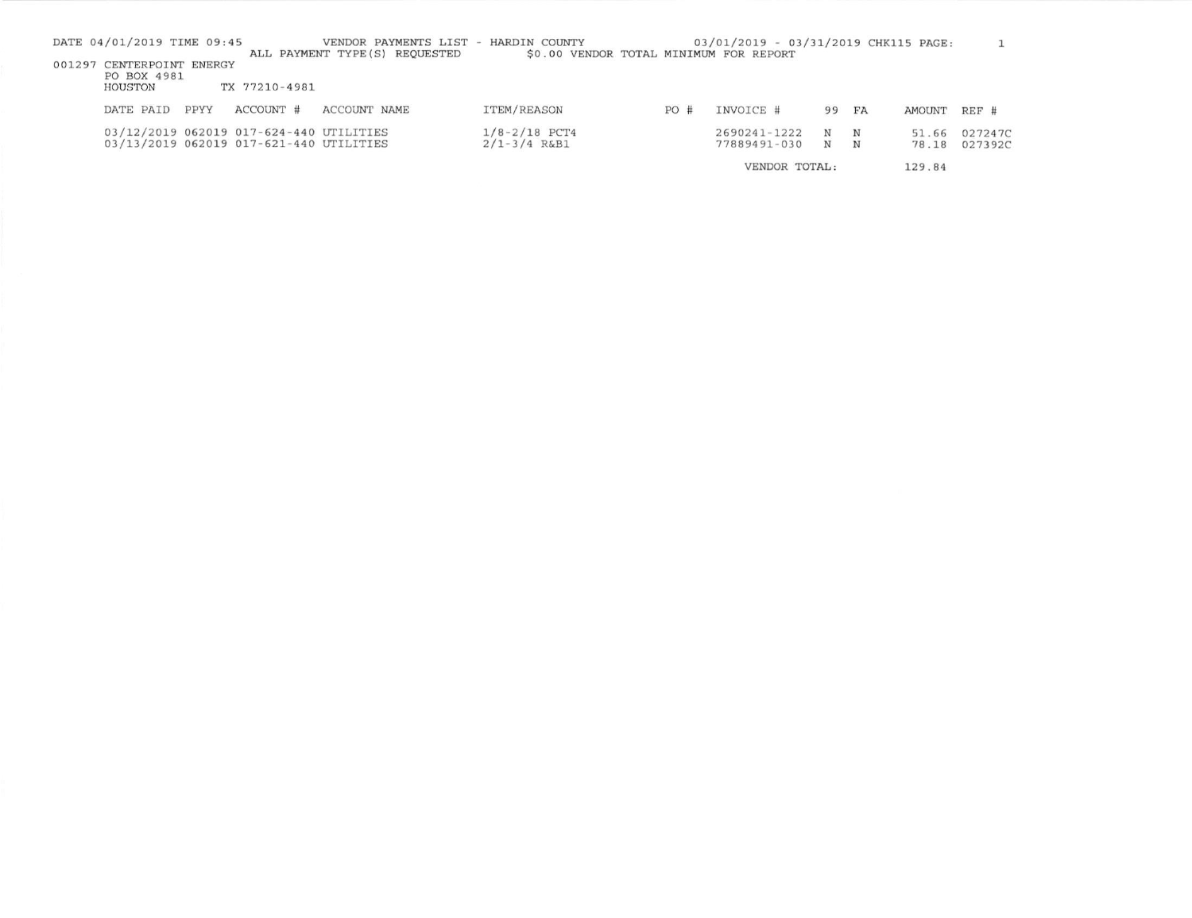| DATE 04/01/2019 TIME 09:45                          |      |                                                                                    | VENDOR PAYMENTS LIST - HARDIN COUNTY<br>ALL PAYMENT TYPE (S) REOUESTED | \$0.00 VENDOR TOTAL MINIMUM FOR REPORT |     | 03/01/2019 - 03/31/2019 CHK115 PAGE: |                 |                 |                |                    |
|-----------------------------------------------------|------|------------------------------------------------------------------------------------|------------------------------------------------------------------------|----------------------------------------|-----|--------------------------------------|-----------------|-----------------|----------------|--------------------|
| 001297 CENTERPOINT ENERGY<br>PO BOX 4981<br>HOUSTON |      | TX 77210-4981                                                                      |                                                                        |                                        |     |                                      |                 |                 |                |                    |
| DATE PAID                                           | PPYY | ACCOUNT #                                                                          | ACCOUNT NAME                                                           | ITEM/REASON                            | PO# | INVOICE #                            | 99 FA           |                 | AMOUNT REF #   |                    |
|                                                     |      | 03/12/2019 062019 017-624-440 UTILITIES<br>03/13/2019 062019 017-621-440 UTILITIES |                                                                        | $1/8 - 2/18$ PCT4<br>$2/1 - 3/4$ R&B1  |     | 2690241-1222<br>77889491-030         | $_{\rm N}$<br>N | $_{\rm N}$<br>N | 51.66<br>78.18 | 027247C<br>027392C |

VENDOR TOTAL: 129.84